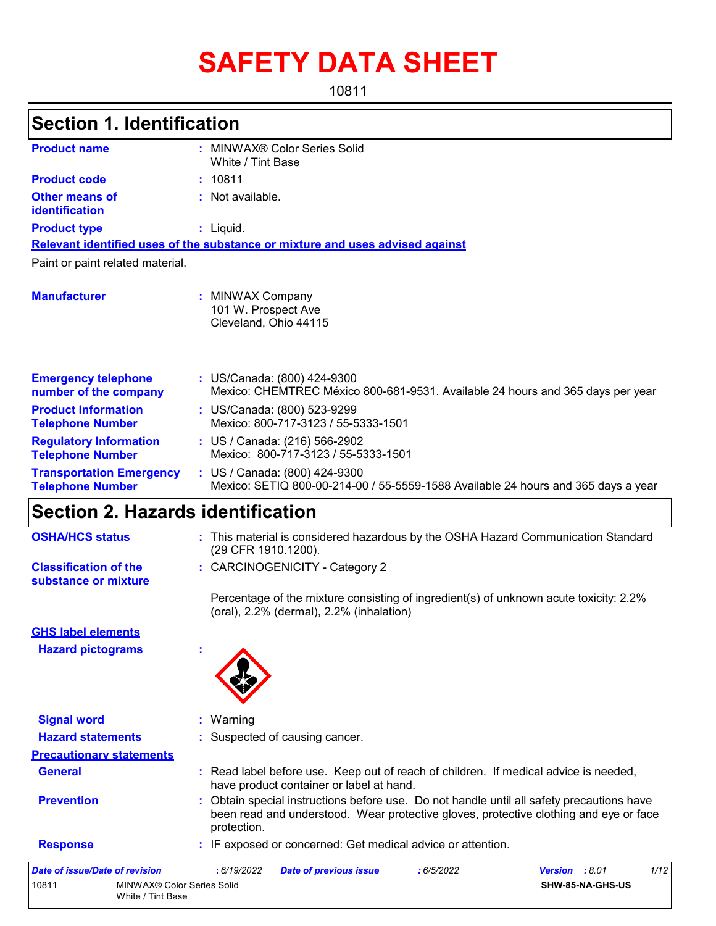# **SAFETY DATA SHEET**

10811

# **Section 1. Identification**

| <b>Product name</b>                                        | MINWAX® Color Series Solid<br>White / Tint Base                                                                    |  |  |  |  |
|------------------------------------------------------------|--------------------------------------------------------------------------------------------------------------------|--|--|--|--|
| <b>Product code</b>                                        | : 10811                                                                                                            |  |  |  |  |
| <b>Other means of</b><br>identification                    | $:$ Not available.                                                                                                 |  |  |  |  |
| <b>Product type</b>                                        | $:$ Liquid.                                                                                                        |  |  |  |  |
|                                                            | Relevant identified uses of the substance or mixture and uses advised against                                      |  |  |  |  |
| Paint or paint related material.                           |                                                                                                                    |  |  |  |  |
| <b>Manufacturer</b>                                        | <b>MINWAX Company</b><br>101 W. Prospect Ave<br>Cleveland, Ohio 44115                                              |  |  |  |  |
| <b>Emergency telephone</b><br>number of the company        | : US/Canada: (800) 424-9300<br>Mexico: CHEMTREC México 800-681-9531. Available 24 hours and 365 days per year      |  |  |  |  |
| <b>Product Information</b><br><b>Telephone Number</b>      | : US/Canada: (800) 523-9299<br>Mexico: 800-717-3123 / 55-5333-1501                                                 |  |  |  |  |
| <b>Regulatory Information</b><br><b>Telephone Number</b>   | : US / Canada: (216) 566-2902<br>Mexico: 800-717-3123 / 55-5333-1501                                               |  |  |  |  |
| <b>Transportation Emergency</b><br><b>Telephone Number</b> | : US / Canada: (800) 424-9300<br>Mexico: SETIQ 800-00-214-00 / 55-5559-1588 Available 24 hours and 365 days a year |  |  |  |  |

# **Section 2. Hazards identification**

| <b>OSHA/HCS status</b>                               | : This material is considered hazardous by the OSHA Hazard Communication Standard<br>(29 CFR 1910.1200).                                                                                        |
|------------------------------------------------------|-------------------------------------------------------------------------------------------------------------------------------------------------------------------------------------------------|
| <b>Classification of the</b><br>substance or mixture | : CARCINOGENICITY - Category 2                                                                                                                                                                  |
|                                                      | Percentage of the mixture consisting of ingredient(s) of unknown acute toxicity: 2.2%<br>(oral), 2.2% (dermal), 2.2% (inhalation)                                                               |
| <b>GHS label elements</b>                            |                                                                                                                                                                                                 |
| <b>Hazard pictograms</b>                             |                                                                                                                                                                                                 |
|                                                      |                                                                                                                                                                                                 |
| <b>Signal word</b>                                   | : Warning                                                                                                                                                                                       |
| <b>Hazard statements</b>                             | : Suspected of causing cancer.                                                                                                                                                                  |
| <b>Precautionary statements</b>                      |                                                                                                                                                                                                 |
| <b>General</b>                                       | : Read label before use. Keep out of reach of children. If medical advice is needed,<br>have product container or label at hand.                                                                |
| <b>Prevention</b>                                    | Obtain special instructions before use. Do not handle until all safety precautions have<br>been read and understood. Wear protective gloves, protective clothing and eye or face<br>protection. |
| <b>Response</b>                                      | : IF exposed or concerned: Get medical advice or attention.                                                                                                                                     |
| <b>Date of issue/Date of revision</b>                | 1/12<br>: 6/19/2022<br>Version : 8.01<br><b>Date of previous issue</b><br>: 6/5/2022                                                                                                            |
| 10811<br>MINWAX® Color Series Solid                  | SHW-85-NA-GHS-US                                                                                                                                                                                |

| MINWAX® Color Series Solid | <b>SHW-85-NA-GHS-US</b> |
|----------------------------|-------------------------|
| White / Tint Base          |                         |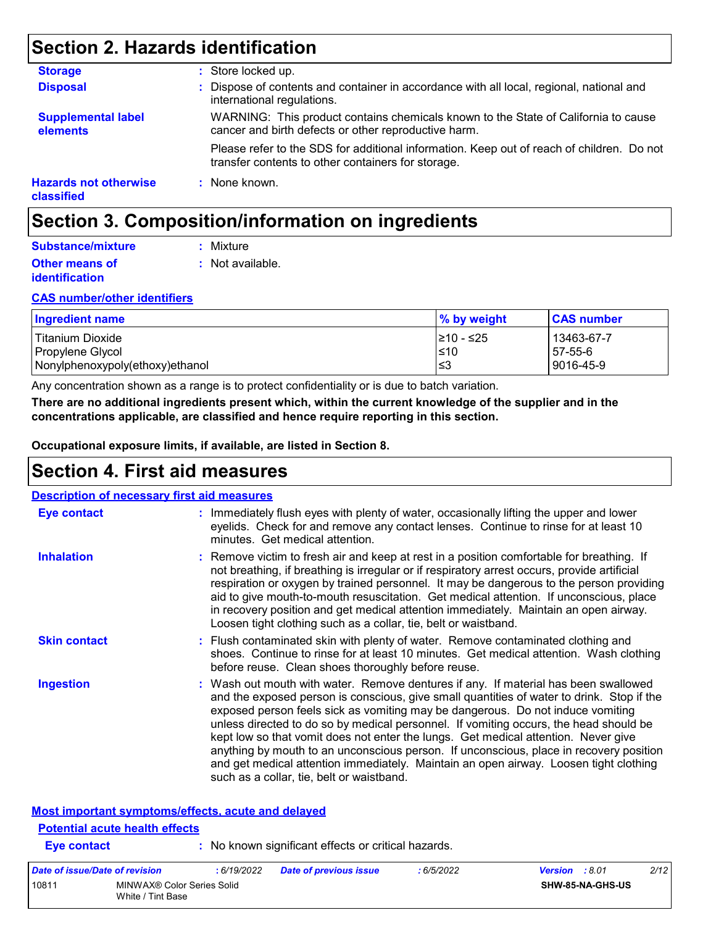# **Section 2. Hazards identification**

| <b>Storage</b>                             | : Store locked up.                                                                                                                              |
|--------------------------------------------|-------------------------------------------------------------------------------------------------------------------------------------------------|
| <b>Disposal</b>                            | : Dispose of contents and container in accordance with all local, regional, national and<br>international regulations.                          |
| <b>Supplemental label</b><br>elements      | WARNING: This product contains chemicals known to the State of California to cause<br>cancer and birth defects or other reproductive harm.      |
|                                            | Please refer to the SDS for additional information. Keep out of reach of children. Do not<br>transfer contents to other containers for storage. |
| <b>Hazards not otherwise</b><br>classified | : None known.                                                                                                                                   |

# **Section 3. Composition/information on ingredients**

| Substance/mixture     | : Mixture        |
|-----------------------|------------------|
| <b>Other means of</b> | : Not available. |
| <i>identification</i> |                  |

#### **CAS number/other identifiers**

| <b>Ingredient name</b>               | % by weight         | <b>CAS number</b>     |
|--------------------------------------|---------------------|-----------------------|
| Titanium Dioxide<br>Propylene Glycol | 1≥10 - ≤25<br>$≤10$ | 13463-67-7<br>57-55-6 |
| Nonylphenoxypoly(ethoxy)ethanol      | l≤3                 | 9016-45-9             |

Any concentration shown as a range is to protect confidentiality or is due to batch variation.

**There are no additional ingredients present which, within the current knowledge of the supplier and in the concentrations applicable, are classified and hence require reporting in this section.**

**Occupational exposure limits, if available, are listed in Section 8.**

### **Section 4. First aid measures**

| <b>Eye contact</b>  | : Immediately flush eyes with plenty of water, occasionally lifting the upper and lower<br>eyelids. Check for and remove any contact lenses. Continue to rinse for at least 10<br>minutes. Get medical attention.                                                                                                                                                                                                                                                                                                                                                                                                                                                                 |
|---------------------|-----------------------------------------------------------------------------------------------------------------------------------------------------------------------------------------------------------------------------------------------------------------------------------------------------------------------------------------------------------------------------------------------------------------------------------------------------------------------------------------------------------------------------------------------------------------------------------------------------------------------------------------------------------------------------------|
| <b>Inhalation</b>   | : Remove victim to fresh air and keep at rest in a position comfortable for breathing. If<br>not breathing, if breathing is irregular or if respiratory arrest occurs, provide artificial<br>respiration or oxygen by trained personnel. It may be dangerous to the person providing<br>aid to give mouth-to-mouth resuscitation. Get medical attention. If unconscious, place<br>in recovery position and get medical attention immediately. Maintain an open airway.<br>Loosen tight clothing such as a collar, tie, belt or waistband.                                                                                                                                         |
| <b>Skin contact</b> | : Flush contaminated skin with plenty of water. Remove contaminated clothing and<br>shoes. Continue to rinse for at least 10 minutes. Get medical attention. Wash clothing<br>before reuse. Clean shoes thoroughly before reuse.                                                                                                                                                                                                                                                                                                                                                                                                                                                  |
| <b>Ingestion</b>    | : Wash out mouth with water. Remove dentures if any. If material has been swallowed<br>and the exposed person is conscious, give small quantities of water to drink. Stop if the<br>exposed person feels sick as vomiting may be dangerous. Do not induce vomiting<br>unless directed to do so by medical personnel. If vomiting occurs, the head should be<br>kept low so that vomit does not enter the lungs. Get medical attention. Never give<br>anything by mouth to an unconscious person. If unconscious, place in recovery position<br>and get medical attention immediately. Maintain an open airway. Loosen tight clothing<br>such as a collar, tie, belt or waistband. |

#### **Most important symptoms/effects, acute and delayed**

White / Tint Base

#### **Eye contact :** No known significant effects or critical hazards. **Potential acute health effects** *Date of issue/Date of revision* **:** *6/19/2022 Date of previous issue : 6/5/2022 Version : 8.01 2/12* 10811 MINWAX® Color Series Solid **SHW-85-NA-GHS-US**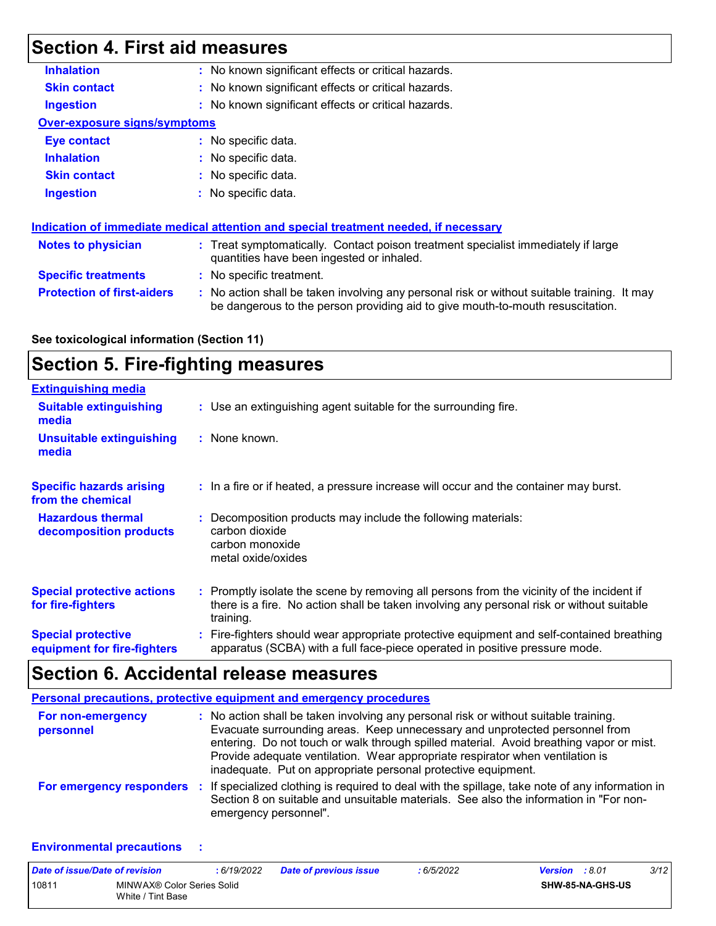# **Section 4. First aid measures**

| <b>Inhalation</b>                   | : No known significant effects or critical hazards.                                                                                                                           |
|-------------------------------------|-------------------------------------------------------------------------------------------------------------------------------------------------------------------------------|
| <b>Skin contact</b>                 | : No known significant effects or critical hazards.                                                                                                                           |
| <b>Ingestion</b>                    | : No known significant effects or critical hazards.                                                                                                                           |
| <b>Over-exposure signs/symptoms</b> |                                                                                                                                                                               |
| <b>Eye contact</b>                  | $:$ No specific data.                                                                                                                                                         |
| <b>Inhalation</b>                   | : No specific data.                                                                                                                                                           |
| <b>Skin contact</b>                 | : No specific data.                                                                                                                                                           |
| <b>Ingestion</b>                    | $\therefore$ No specific data.                                                                                                                                                |
|                                     |                                                                                                                                                                               |
|                                     | <u>Indication of immediate medical attention and special treatment needed, if necessary</u>                                                                                   |
| <b>Notes to physician</b>           | : Treat symptomatically. Contact poison treatment specialist immediately if large<br>quantities have been ingested or inhaled.                                                |
| <b>Specific treatments</b>          | : No specific treatment.                                                                                                                                                      |
| <b>Protection of first-aiders</b>   | : No action shall be taken involving any personal risk or without suitable training. It may<br>be dangerous to the person providing aid to give mouth-to-mouth resuscitation. |
|                                     |                                                                                                                                                                               |

#### **See toxicological information (Section 11)**

# **Section 5. Fire-fighting measures**

| <b>Extinguishing media</b>                               |                                                                                                                                                                                                     |
|----------------------------------------------------------|-----------------------------------------------------------------------------------------------------------------------------------------------------------------------------------------------------|
| <b>Suitable extinguishing</b><br>media                   | : Use an extinguishing agent suitable for the surrounding fire.                                                                                                                                     |
| <b>Unsuitable extinguishing</b><br>media                 | : None known.                                                                                                                                                                                       |
| <b>Specific hazards arising</b><br>from the chemical     | : In a fire or if heated, a pressure increase will occur and the container may burst.                                                                                                               |
| <b>Hazardous thermal</b><br>decomposition products       | Decomposition products may include the following materials:<br>carbon dioxide<br>carbon monoxide<br>metal oxide/oxides                                                                              |
| <b>Special protective actions</b><br>for fire-fighters   | : Promptly isolate the scene by removing all persons from the vicinity of the incident if<br>there is a fire. No action shall be taken involving any personal risk or without suitable<br>training. |
| <b>Special protective</b><br>equipment for fire-fighters | : Fire-fighters should wear appropriate protective equipment and self-contained breathing<br>apparatus (SCBA) with a full face-piece operated in positive pressure mode.                            |

# **Section 6. Accidental release measures**

|                                 | Personal precautions, protective equipment and emergency procedures                                                                                                                                                                                                                                                                                                                                              |
|---------------------------------|------------------------------------------------------------------------------------------------------------------------------------------------------------------------------------------------------------------------------------------------------------------------------------------------------------------------------------------------------------------------------------------------------------------|
| For non-emergency<br>personnel  | : No action shall be taken involving any personal risk or without suitable training.<br>Evacuate surrounding areas. Keep unnecessary and unprotected personnel from<br>entering. Do not touch or walk through spilled material. Avoid breathing vapor or mist.<br>Provide adequate ventilation. Wear appropriate respirator when ventilation is<br>inadequate. Put on appropriate personal protective equipment. |
| <b>For emergency responders</b> | : If specialized clothing is required to deal with the spillage, take note of any information in<br>Section 8 on suitable and unsuitable materials. See also the information in "For non-<br>emergency personnel".                                                                                                                                                                                               |

#### **Environmental precautions :**

| Date of issue/Date of revision |                                                 | : 6/19/2022 | <b>Date of previous issue</b> | : 6/5/2022 | <b>Version</b> : 8.01 |                         | 3/12 |
|--------------------------------|-------------------------------------------------|-------------|-------------------------------|------------|-----------------------|-------------------------|------|
| 10811                          | MINWAX® Color Series Solid<br>White / Tint Base |             |                               |            |                       | <b>SHW-85-NA-GHS-US</b> |      |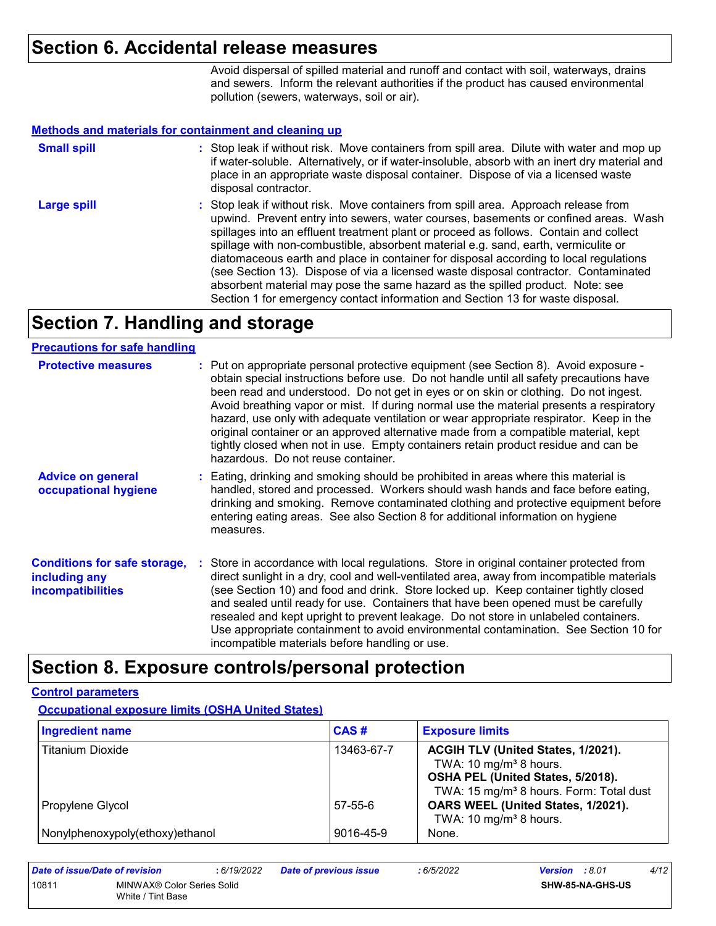### **Section 6. Accidental release measures**

Avoid dispersal of spilled material and runoff and contact with soil, waterways, drains and sewers. Inform the relevant authorities if the product has caused environmental pollution (sewers, waterways, soil or air).

#### **Methods and materials for containment and cleaning up**

| <b>Small spill</b> | : Stop leak if without risk. Move containers from spill area. Dilute with water and mop up<br>if water-soluble. Alternatively, or if water-insoluble, absorb with an inert dry material and<br>place in an appropriate waste disposal container. Dispose of via a licensed waste<br>disposal contractor.                                                                                                                                                                                                                                                                                                                                                                                                     |
|--------------------|--------------------------------------------------------------------------------------------------------------------------------------------------------------------------------------------------------------------------------------------------------------------------------------------------------------------------------------------------------------------------------------------------------------------------------------------------------------------------------------------------------------------------------------------------------------------------------------------------------------------------------------------------------------------------------------------------------------|
| <b>Large spill</b> | : Stop leak if without risk. Move containers from spill area. Approach release from<br>upwind. Prevent entry into sewers, water courses, basements or confined areas. Wash<br>spillages into an effluent treatment plant or proceed as follows. Contain and collect<br>spillage with non-combustible, absorbent material e.g. sand, earth, vermiculite or<br>diatomaceous earth and place in container for disposal according to local regulations<br>(see Section 13). Dispose of via a licensed waste disposal contractor. Contaminated<br>absorbent material may pose the same hazard as the spilled product. Note: see<br>Section 1 for emergency contact information and Section 13 for waste disposal. |

# **Section 7. Handling and storage**

#### **Precautions for safe handling**

| <b>Protective measures</b>                                                       | : Put on appropriate personal protective equipment (see Section 8). Avoid exposure -<br>obtain special instructions before use. Do not handle until all safety precautions have<br>been read and understood. Do not get in eyes or on skin or clothing. Do not ingest.<br>Avoid breathing vapor or mist. If during normal use the material presents a respiratory<br>hazard, use only with adequate ventilation or wear appropriate respirator. Keep in the<br>original container or an approved alternative made from a compatible material, kept<br>tightly closed when not in use. Empty containers retain product residue and can be<br>hazardous. Do not reuse container. |
|----------------------------------------------------------------------------------|--------------------------------------------------------------------------------------------------------------------------------------------------------------------------------------------------------------------------------------------------------------------------------------------------------------------------------------------------------------------------------------------------------------------------------------------------------------------------------------------------------------------------------------------------------------------------------------------------------------------------------------------------------------------------------|
| <b>Advice on general</b><br>occupational hygiene                                 | : Eating, drinking and smoking should be prohibited in areas where this material is<br>handled, stored and processed. Workers should wash hands and face before eating,<br>drinking and smoking. Remove contaminated clothing and protective equipment before<br>entering eating areas. See also Section 8 for additional information on hygiene<br>measures.                                                                                                                                                                                                                                                                                                                  |
| <b>Conditions for safe storage,</b><br>including any<br><b>incompatibilities</b> | : Store in accordance with local regulations. Store in original container protected from<br>direct sunlight in a dry, cool and well-ventilated area, away from incompatible materials<br>(see Section 10) and food and drink. Store locked up. Keep container tightly closed<br>and sealed until ready for use. Containers that have been opened must be carefully<br>resealed and kept upright to prevent leakage. Do not store in unlabeled containers.<br>Use appropriate containment to avoid environmental contamination. See Section 10 for<br>incompatible materials before handling or use.                                                                            |

# **Section 8. Exposure controls/personal protection**

#### **Control parameters**

**Occupational exposure limits (OSHA United States)**

| <b>Ingredient name</b>          | CAS#          | <b>Exposure limits</b>                                                   |
|---------------------------------|---------------|--------------------------------------------------------------------------|
| <b>Titanium Dioxide</b>         | 13463-67-7    | ACGIH TLV (United States, 1/2021).<br>TWA: 10 mg/m <sup>3</sup> 8 hours. |
|                                 |               | OSHA PEL (United States, 5/2018).                                        |
|                                 |               | TWA: 15 mg/m <sup>3</sup> 8 hours. Form: Total dust                      |
| Propylene Glycol                | $57 - 55 - 6$ | OARS WEEL (United States, 1/2021).<br>TWA: 10 mg/m <sup>3</sup> 8 hours. |
| Nonylphenoxypoly(ethoxy)ethanol | 9016-45-9     | None.                                                                    |

| Date of issue/Date of revision |                                                 | : 6/19/2022 | <b>Date of previous issue</b> | : 6/5/2022 | <b>Version</b> : 8.01 |                         | 4/12 |
|--------------------------------|-------------------------------------------------|-------------|-------------------------------|------------|-----------------------|-------------------------|------|
| 10811                          | MINWAX® Color Series Solid<br>White / Tint Base |             |                               |            |                       | <b>SHW-85-NA-GHS-US</b> |      |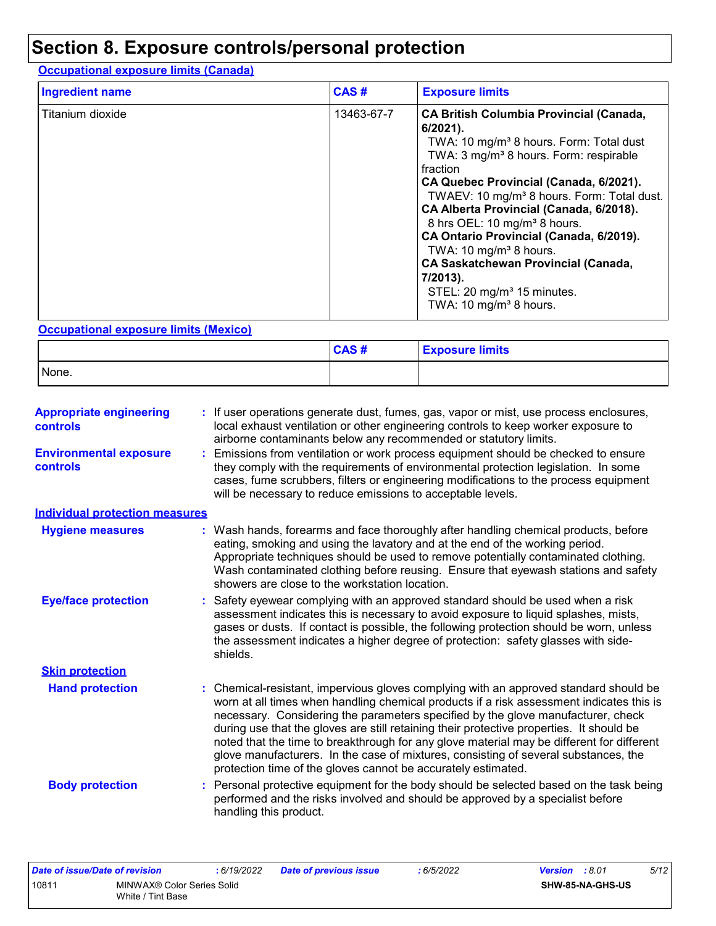# **Section 8. Exposure controls/personal protection**

### **Occupational exposure limits (Canada)**

| <b>Ingredient name</b> | CAS#       | <b>Exposure limits</b>                                                                                                                                                                                                                                                                                                                                                                                                                                                                                                                                                                                       |
|------------------------|------------|--------------------------------------------------------------------------------------------------------------------------------------------------------------------------------------------------------------------------------------------------------------------------------------------------------------------------------------------------------------------------------------------------------------------------------------------------------------------------------------------------------------------------------------------------------------------------------------------------------------|
| Titanium dioxide       | 13463-67-7 | <b>CA British Columbia Provincial (Canada,</b><br>$6/2021$ ).<br>TWA: 10 mg/m <sup>3</sup> 8 hours. Form: Total dust<br>TWA: 3 mg/m <sup>3</sup> 8 hours. Form: respirable<br>fraction<br>CA Quebec Provincial (Canada, 6/2021).<br>TWAEV: 10 mg/m <sup>3</sup> 8 hours. Form: Total dust.<br>CA Alberta Provincial (Canada, 6/2018).<br>8 hrs OEL: 10 mg/m <sup>3</sup> 8 hours.<br>CA Ontario Provincial (Canada, 6/2019).<br>TWA: 10 mg/m <sup>3</sup> 8 hours.<br><b>CA Saskatchewan Provincial (Canada,</b><br>7/2013).<br>STEL: 20 mg/m <sup>3</sup> 15 minutes.<br>TWA: 10 mg/m <sup>3</sup> 8 hours. |

#### **Occupational exposure limits (Mexico)**

|       | CAS# | <b>Exposure limits</b> |
|-------|------|------------------------|
| None. |      |                        |

| <b>Appropriate engineering</b><br><b>controls</b> | : If user operations generate dust, fumes, gas, vapor or mist, use process enclosures,<br>local exhaust ventilation or other engineering controls to keep worker exposure to<br>airborne contaminants below any recommended or statutory limits.                                                                                                                                                                                                                                                                                                                                                                     |
|---------------------------------------------------|----------------------------------------------------------------------------------------------------------------------------------------------------------------------------------------------------------------------------------------------------------------------------------------------------------------------------------------------------------------------------------------------------------------------------------------------------------------------------------------------------------------------------------------------------------------------------------------------------------------------|
| <b>Environmental exposure</b><br><b>controls</b>  | Emissions from ventilation or work process equipment should be checked to ensure<br>they comply with the requirements of environmental protection legislation. In some<br>cases, fume scrubbers, filters or engineering modifications to the process equipment<br>will be necessary to reduce emissions to acceptable levels.                                                                                                                                                                                                                                                                                        |
| <b>Individual protection measures</b>             |                                                                                                                                                                                                                                                                                                                                                                                                                                                                                                                                                                                                                      |
| <b>Hygiene measures</b>                           | : Wash hands, forearms and face thoroughly after handling chemical products, before<br>eating, smoking and using the lavatory and at the end of the working period.<br>Appropriate techniques should be used to remove potentially contaminated clothing.<br>Wash contaminated clothing before reusing. Ensure that eyewash stations and safety<br>showers are close to the workstation location.                                                                                                                                                                                                                    |
| <b>Eye/face protection</b>                        | : Safety eyewear complying with an approved standard should be used when a risk<br>assessment indicates this is necessary to avoid exposure to liquid splashes, mists,<br>gases or dusts. If contact is possible, the following protection should be worn, unless<br>the assessment indicates a higher degree of protection: safety glasses with side-<br>shields.                                                                                                                                                                                                                                                   |
| <b>Skin protection</b>                            |                                                                                                                                                                                                                                                                                                                                                                                                                                                                                                                                                                                                                      |
| <b>Hand protection</b>                            | Chemical-resistant, impervious gloves complying with an approved standard should be<br>worn at all times when handling chemical products if a risk assessment indicates this is<br>necessary. Considering the parameters specified by the glove manufacturer, check<br>during use that the gloves are still retaining their protective properties. It should be<br>noted that the time to breakthrough for any glove material may be different for different<br>glove manufacturers. In the case of mixtures, consisting of several substances, the<br>protection time of the gloves cannot be accurately estimated. |
| <b>Body protection</b>                            | Personal protective equipment for the body should be selected based on the task being<br>performed and the risks involved and should be approved by a specialist before<br>handling this product.                                                                                                                                                                                                                                                                                                                                                                                                                    |

| Date of issue/Date of revision |                            | : 6/19/2022 | <b>Date of previous issue</b> | : 6/5/2022 | <b>Version</b> : 8.01 |                         | 5/12 |
|--------------------------------|----------------------------|-------------|-------------------------------|------------|-----------------------|-------------------------|------|
| 10811                          | MINWAX® Color Series Solid |             |                               |            |                       | <b>SHW-85-NA-GHS-US</b> |      |
|                                | White / Tint Base          |             |                               |            |                       |                         |      |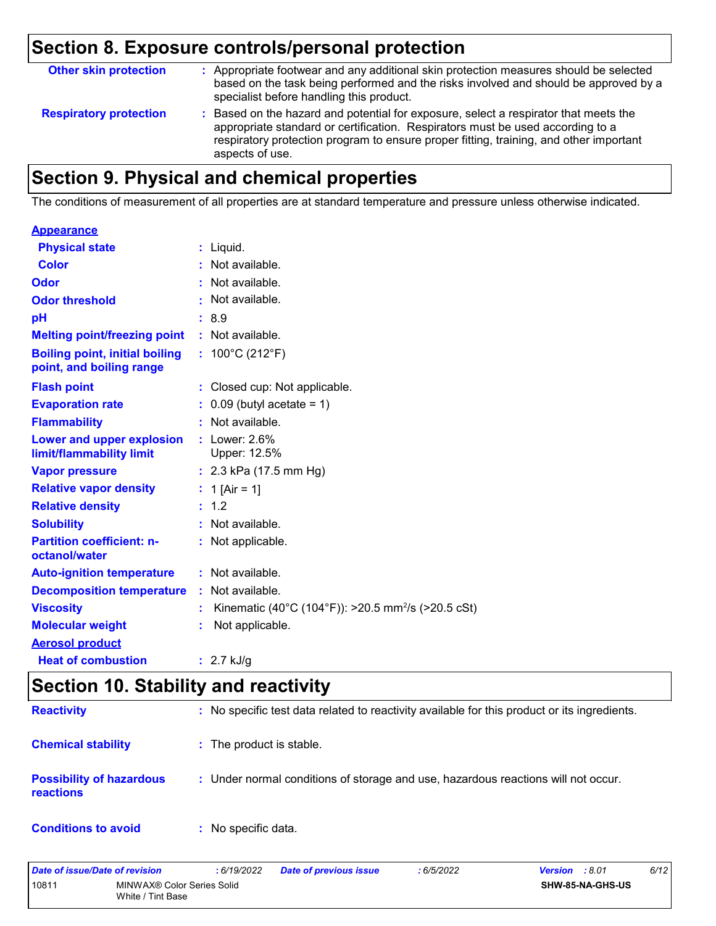# **Section 8. Exposure controls/personal protection**

| <b>Other skin protection</b>  | : Appropriate footwear and any additional skin protection measures should be selected<br>based on the task being performed and the risks involved and should be approved by a<br>specialist before handling this product.                                                           |
|-------------------------------|-------------------------------------------------------------------------------------------------------------------------------------------------------------------------------------------------------------------------------------------------------------------------------------|
| <b>Respiratory protection</b> | : Based on the hazard and potential for exposure, select a respirator that meets the<br>appropriate standard or certification. Respirators must be used according to a<br>respiratory protection program to ensure proper fitting, training, and other important<br>aspects of use. |

# **Section 9. Physical and chemical properties**

The conditions of measurement of all properties are at standard temperature and pressure unless otherwise indicated.

#### **Appearance**

| <b>Physical state</b>                                             |    | $:$ Liquid.                                                    |
|-------------------------------------------------------------------|----|----------------------------------------------------------------|
| <b>Color</b>                                                      |    | Not available.                                                 |
| Odor                                                              |    | Not available.                                                 |
| <b>Odor threshold</b>                                             |    | Not available.                                                 |
| pH                                                                |    | :8.9                                                           |
| <b>Melting point/freezing point</b>                               |    | : Not available.                                               |
| <b>Boiling point, initial boiling</b><br>point, and boiling range |    | : $100^{\circ}$ C (212 $^{\circ}$ F)                           |
| <b>Flash point</b>                                                | ÷. | Closed cup: Not applicable.                                    |
| <b>Evaporation rate</b>                                           |    | $0.09$ (butyl acetate = 1)                                     |
| <b>Flammability</b>                                               |    | Not available.                                                 |
| Lower and upper explosion<br>limit/flammability limit             |    | $:$ Lower: 2.6%<br>Upper: 12.5%                                |
| <b>Vapor pressure</b>                                             |    | : $2.3$ kPa (17.5 mm Hg)                                       |
| <b>Relative vapor density</b>                                     |    | : 1 [Air = 1]                                                  |
| <b>Relative density</b>                                           |    | : 1.2                                                          |
| <b>Solubility</b>                                                 |    | : Not available.                                               |
| <b>Partition coefficient: n-</b><br>octanol/water                 |    | : Not applicable.                                              |
| <b>Auto-ignition temperature</b>                                  |    | : Not available.                                               |
| <b>Decomposition temperature</b>                                  |    | : Not available.                                               |
| <b>Viscosity</b>                                                  |    | Kinematic (40°C (104°F)): >20.5 mm <sup>2</sup> /s (>20.5 cSt) |
| <b>Molecular weight</b>                                           |    | Not applicable.                                                |
| <b>Aerosol product</b>                                            |    |                                                                |
| <b>Heat of combustion</b>                                         |    | : $2.7$ kJ/g                                                   |

# **Section 10. Stability and reactivity**

| <b>Reactivity</b>                                   | : No specific test data related to reactivity available for this product or its ingredients. |
|-----------------------------------------------------|----------------------------------------------------------------------------------------------|
| <b>Chemical stability</b>                           | : The product is stable.                                                                     |
| <b>Possibility of hazardous</b><br><b>reactions</b> | : Under normal conditions of storage and use, hazardous reactions will not occur.            |
| <b>Conditions to avoid</b>                          | : No specific data.                                                                          |

| Date of issue/Date of revision |                                                 | 6/19/2022 | <b>Date of previous issue</b> | 6/5/2022 | :8.01<br>Version        | 6/12 |
|--------------------------------|-------------------------------------------------|-----------|-------------------------------|----------|-------------------------|------|
| 1081'                          | MINWAX® Color Series Solid<br>White / Tint Base |           |                               |          | <b>SHW-85-NA-GHS-US</b> |      |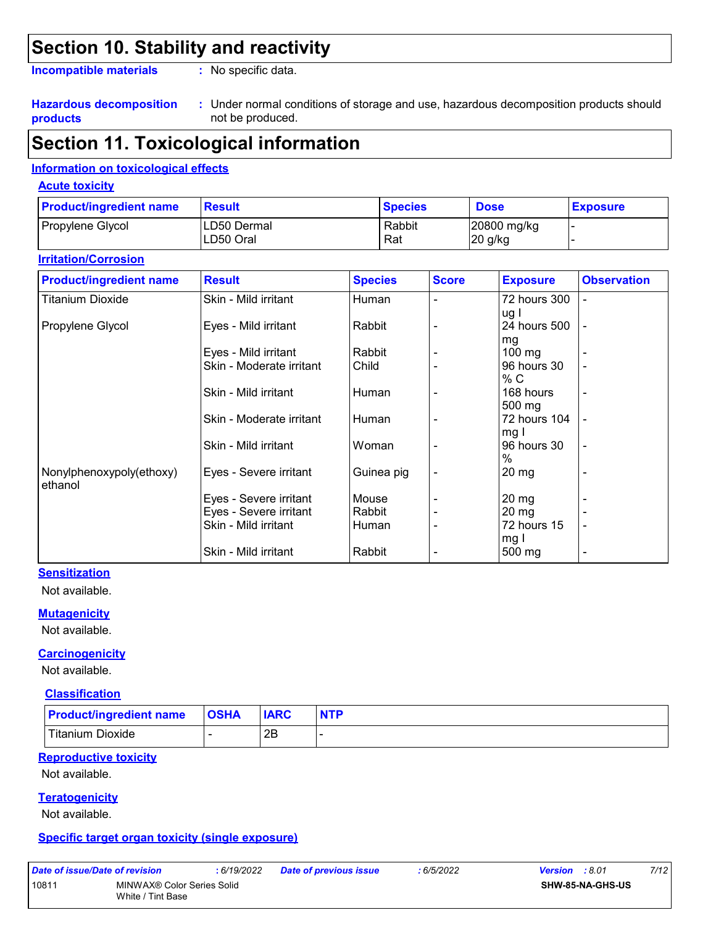# **Section 10. Stability and reactivity**

**Incompatible materials :**

: No specific data.

#### **Hazardous decomposition products**

Under normal conditions of storage and use, hazardous decomposition products should **:** not be produced.

# **Section 11. Toxicological information**

#### **Information on toxicological effects**

#### **Acute toxicity**

| <b>Product/ingredient name</b> | Result       | <b>Species</b> | <b>Dose</b> | <b>Exposure</b> |
|--------------------------------|--------------|----------------|-------------|-----------------|
| Propylene Glycol               | ILD50 Dermal | Rabbit         | 20800 mg/kg |                 |
|                                | ILD50 Oral   | Rat            | 20 g/kg     |                 |

#### **Irritation/Corrosion**

| <b>Product/ingredient name</b> | <b>Result</b>            | <b>Species</b> | <b>Score</b> | <b>Exposure</b>    | <b>Observation</b>       |
|--------------------------------|--------------------------|----------------|--------------|--------------------|--------------------------|
| <b>Titanium Dioxide</b>        | Skin - Mild irritant     | Human          |              | 72 hours 300       | -                        |
|                                |                          |                |              | ug l               |                          |
| Propylene Glycol               | Eyes - Mild irritant     | Rabbit         |              | 24 hours 500       | $\overline{a}$           |
|                                |                          |                |              | mg                 |                          |
|                                | Eyes - Mild irritant     | Rabbit         |              | $100 \text{ mg}$   |                          |
|                                | Skin - Moderate irritant | Child          |              | 96 hours 30        |                          |
|                                |                          |                |              | % C                |                          |
|                                | Skin - Mild irritant     | Human          |              | 168 hours          | $\overline{\phantom{a}}$ |
|                                |                          |                |              | 500 mg             |                          |
|                                | Skin - Moderate irritant | Human          |              | 72 hours 104       |                          |
|                                |                          |                |              | mg I               |                          |
|                                | Skin - Mild irritant     | Woman          |              | 96 hours 30        | $\overline{\phantom{a}}$ |
|                                |                          |                |              | $\%$               |                          |
| Nonylphenoxypoly(ethoxy)       | Eyes - Severe irritant   | Guinea pig     |              | $20 \,\mathrm{mg}$ |                          |
| ethanol                        |                          |                |              |                    |                          |
|                                | Eyes - Severe irritant   | Mouse          |              | $20 \,\mathrm{mg}$ |                          |
|                                | Eyes - Severe irritant   | Rabbit         |              | $20 \, mg$         |                          |
|                                | Skin - Mild irritant     | Human          |              | 72 hours 15        | ۰                        |
|                                |                          |                |              | mg I               |                          |
|                                | Skin - Mild irritant     | Rabbit         |              | 500 mg             | $\overline{\phantom{a}}$ |

#### **Sensitization**

Not available.

#### **Mutagenicity**

Not available.

#### **Carcinogenicity**

Not available.

#### **Classification**

| <b>Product/ingredient name</b> | <b>OSHA</b> | <b>IARC</b> | <b>NTP</b> |
|--------------------------------|-------------|-------------|------------|
| Titanium Dioxide               |             | םר<br>∠∟    |            |

#### **Reproductive toxicity**

Not available.

#### **Teratogenicity**

Not available.

#### **Specific target organ toxicity (single exposure)**

| Date of issue/Date of rev |  |  |   |  |
|---------------------------|--|--|---|--|
| $1 - 1$                   |  |  | . |  |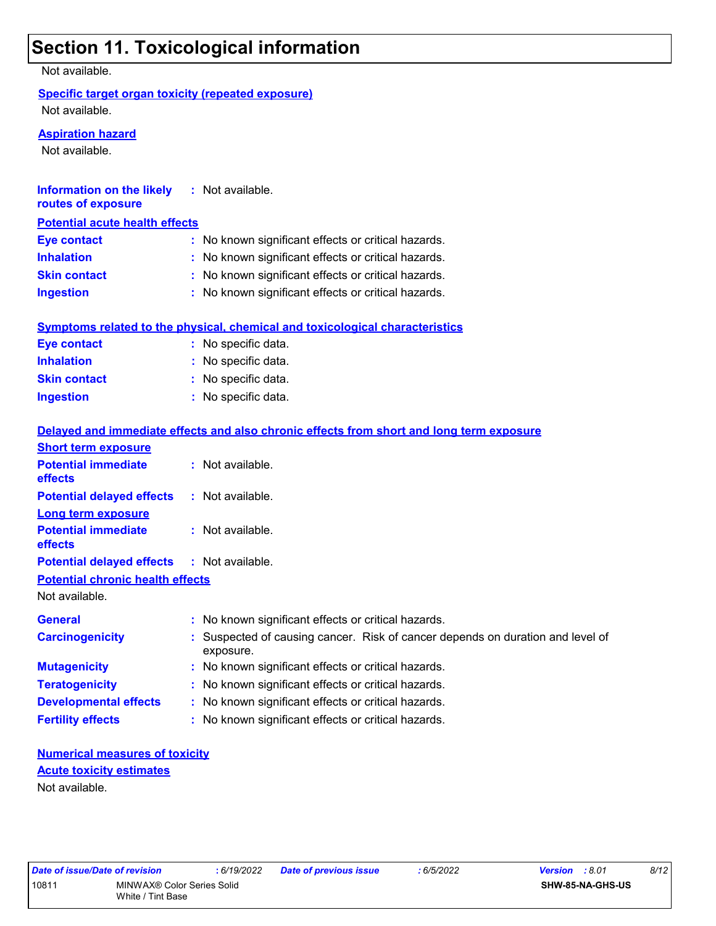# **Section 11. Toxicological information**

Not available.

#### **Specific target organ toxicity (repeated exposure)**

Not available.

#### **Aspiration hazard**

Not available.

| Information on the likely<br>routes of exposure | : Not available.                                    |  |
|-------------------------------------------------|-----------------------------------------------------|--|
| <b>Potential acute health effects</b>           |                                                     |  |
| <b>Eye contact</b>                              | : No known significant effects or critical hazards. |  |
| <b>Inhalation</b>                               | : No known significant effects or critical hazards. |  |
| <b>Skin contact</b>                             | : No known significant effects or critical hazards. |  |
| <b>Ingestion</b>                                | : No known significant effects or critical hazards. |  |

|                     | Symptoms related to the physical, chemical and toxicological characteristics |
|---------------------|------------------------------------------------------------------------------|
| Eye contact         | : No specific data.                                                          |
| <b>Inhalation</b>   | : No specific data.                                                          |
| <b>Skin contact</b> | : No specific data.                                                          |
| <b>Ingestion</b>    | : No specific data.                                                          |

|                                                   | Delayed and immediate effects and also chronic effects from short and long term exposure    |
|---------------------------------------------------|---------------------------------------------------------------------------------------------|
| <b>Short term exposure</b>                        |                                                                                             |
| <b>Potential immediate</b><br>effects             | : Not available.                                                                            |
| <b>Potential delayed effects</b>                  | : Not available.                                                                            |
| <b>Long term exposure</b>                         |                                                                                             |
| <b>Potential immediate</b><br>effects             | : Not available.                                                                            |
| <b>Potential delayed effects : Not available.</b> |                                                                                             |
| <b>Potential chronic health effects</b>           |                                                                                             |
| Not available.                                    |                                                                                             |
| <b>General</b>                                    | : No known significant effects or critical hazards.                                         |
| <b>Carcinogenicity</b>                            | : Suspected of causing cancer. Risk of cancer depends on duration and level of<br>exposure. |
| <b>Mutagenicity</b>                               | : No known significant effects or critical hazards.                                         |
| <b>Teratogenicity</b>                             | : No known significant effects or critical hazards.                                         |
| <b>Developmental effects</b>                      | : No known significant effects or critical hazards.                                         |
| <b>Fertility effects</b>                          | : No known significant effects or critical hazards.                                         |

#### **Numerical measures of toxicity** Not available. **Acute toxicity estimates**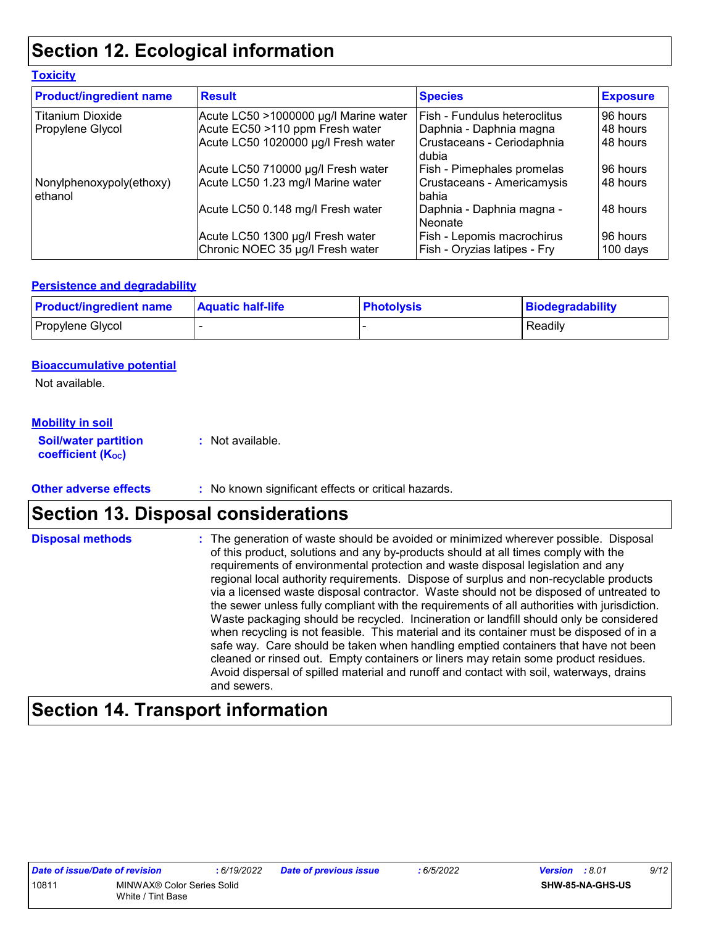# **Section 12. Ecological information**

| <b>Toxicity</b>                     |                                       |                                       |                 |
|-------------------------------------|---------------------------------------|---------------------------------------|-----------------|
| <b>Product/ingredient name</b>      | <b>Result</b>                         | <b>Species</b>                        | <b>Exposure</b> |
| <b>Titanium Dioxide</b>             | Acute LC50 >1000000 µg/l Marine water | l Fish - Fundulus heteroclitus        | 96 hours        |
| Propylene Glycol                    | Acute EC50 >110 ppm Fresh water       | Daphnia - Daphnia magna               | 48 hours        |
|                                     | Acute LC50 1020000 µg/l Fresh water   | Crustaceans - Ceriodaphnia<br>dubia   | 48 hours        |
|                                     | Acute LC50 710000 µg/l Fresh water    | Fish - Pimephales promelas            | 96 hours        |
| Nonylphenoxypoly(ethoxy)<br>ethanol | Acute LC50 1.23 mg/l Marine water     | Crustaceans - Americamysis<br>l bahia | 48 hours        |
|                                     | Acute LC50 0.148 mg/l Fresh water     | Daphnia - Daphnia magna -<br>Neonate  | 48 hours        |
|                                     | Acute LC50 1300 µg/l Fresh water      | Fish - Lepomis macrochirus            | 96 hours        |
|                                     | Chronic NOEC 35 µg/l Fresh water      | Fish - Oryzias latipes - Fry          | $100$ days      |

#### **Persistence and degradability**

| <b>Product/ingredient name</b> | <b>Aquatic half-life</b> | <b>Photolysis</b> | Biodegradability |
|--------------------------------|--------------------------|-------------------|------------------|
| Propylene Glycol               |                          |                   | Readily          |

#### **Bioaccumulative potential**

Not available.

#### **Mobility in soil**

**Soil/water partition coefficient (KOC) :** Not available.

**Other adverse effects** : No known significant effects or critical hazards.

# **Section 13. Disposal considerations**

The generation of waste should be avoided or minimized wherever possible. Disposal of this product, solutions and any by-products should at all times comply with the requirements of environmental protection and waste disposal legislation and any regional local authority requirements. Dispose of surplus and non-recyclable products via a licensed waste disposal contractor. Waste should not be disposed of untreated to the sewer unless fully compliant with the requirements of all authorities with jurisdiction. Waste packaging should be recycled. Incineration or landfill should only be considered when recycling is not feasible. This material and its container must be disposed of in a safe way. Care should be taken when handling emptied containers that have not been cleaned or rinsed out. Empty containers or liners may retain some product residues. Avoid dispersal of spilled material and runoff and contact with soil, waterways, drains and sewers. **Disposal methods :**

# **Section 14. Transport information**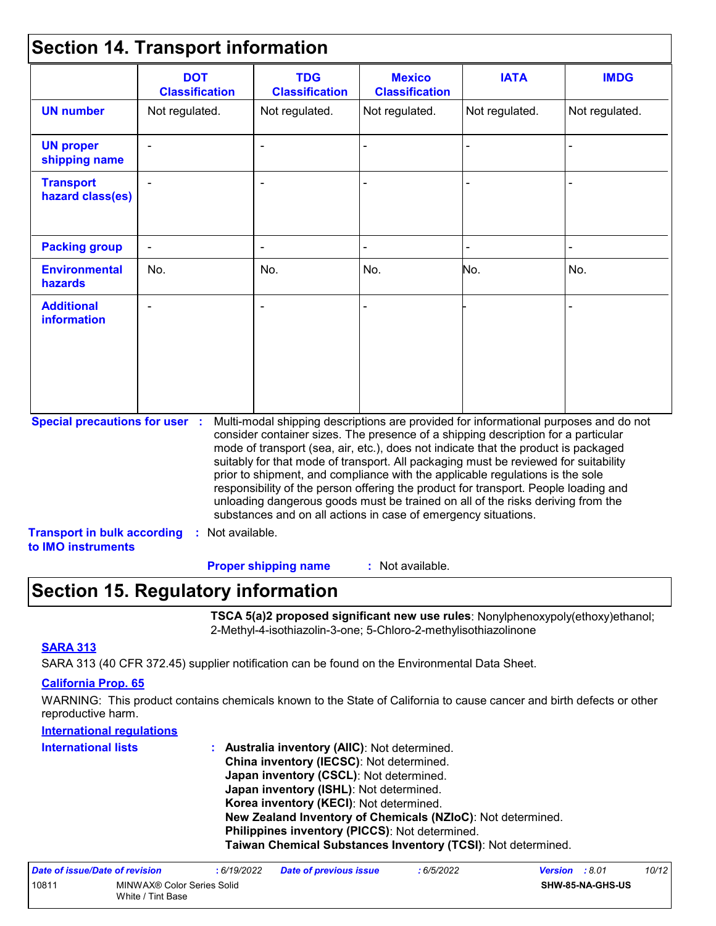### **Section 14. Transport information**

|                                         | <b>DOT</b><br><b>Classification</b> | <b>TDG</b><br><b>Classification</b>                            | <b>Mexico</b><br><b>Classification</b> | <b>IATA</b>                                                                                                                                                                                                                                                                                                                                                                                                                                                                                                                                                                                                       | <b>IMDG</b>    |
|-----------------------------------------|-------------------------------------|----------------------------------------------------------------|----------------------------------------|-------------------------------------------------------------------------------------------------------------------------------------------------------------------------------------------------------------------------------------------------------------------------------------------------------------------------------------------------------------------------------------------------------------------------------------------------------------------------------------------------------------------------------------------------------------------------------------------------------------------|----------------|
| <b>UN number</b>                        | Not regulated.                      | Not regulated.                                                 | Not regulated.                         | Not regulated.                                                                                                                                                                                                                                                                                                                                                                                                                                                                                                                                                                                                    | Not regulated. |
| <b>UN proper</b><br>shipping name       |                                     | $\sim$                                                         |                                        |                                                                                                                                                                                                                                                                                                                                                                                                                                                                                                                                                                                                                   |                |
| <b>Transport</b><br>hazard class(es)    |                                     |                                                                |                                        |                                                                                                                                                                                                                                                                                                                                                                                                                                                                                                                                                                                                                   |                |
| <b>Packing group</b>                    | $\blacksquare$                      |                                                                |                                        |                                                                                                                                                                                                                                                                                                                                                                                                                                                                                                                                                                                                                   |                |
| <b>Environmental</b><br>hazards         | No.                                 | No.                                                            | No.                                    | No.                                                                                                                                                                                                                                                                                                                                                                                                                                                                                                                                                                                                               | No.            |
| <b>Additional</b><br><b>information</b> |                                     | $\blacksquare$                                                 |                                        |                                                                                                                                                                                                                                                                                                                                                                                                                                                                                                                                                                                                                   |                |
| <b>Special precautions for user :</b>   |                                     | substances and on all actions in case of emergency situations. |                                        | Multi-modal shipping descriptions are provided for informational purposes and do not<br>consider container sizes. The presence of a shipping description for a particular<br>mode of transport (sea, air, etc.), does not indicate that the product is packaged<br>suitably for that mode of transport. All packaging must be reviewed for suitability<br>prior to shipment, and compliance with the applicable regulations is the sole<br>responsibility of the person offering the product for transport. People loading and<br>unloading dangerous goods must be trained on all of the risks deriving from the |                |

: Not available. **Proper shipping name :**

### **Section 15. Regulatory information**

**TSCA 5(a)2 proposed significant new use rules**: Nonylphenoxypoly(ethoxy)ethanol; 2-Methyl-4-isothiazolin-3-one; 5-Chloro-2-methylisothiazolinone

#### **SARA 313**

SARA 313 (40 CFR 372.45) supplier notification can be found on the Environmental Data Sheet.

#### **California Prop. 65**

WARNING: This product contains chemicals known to the State of California to cause cancer and birth defects or other reproductive harm.

#### **International regulations**

| <b>International lists</b> | : Australia inventory (AIIC): Not determined.                |
|----------------------------|--------------------------------------------------------------|
|                            | China inventory (IECSC): Not determined.                     |
|                            | <b>Japan inventory (CSCL): Not determined.</b>               |
|                            | Japan inventory (ISHL): Not determined.                      |
|                            | Korea inventory (KECI): Not determined.                      |
|                            | New Zealand Inventory of Chemicals (NZIoC): Not determined.  |
|                            | Philippines inventory (PICCS): Not determined.               |
|                            | Taiwan Chemical Substances Inventory (TCSI): Not determined. |

| Date of issue/Date of revision |                                                 | : 6/19/2022 | <b>Date of previous issue</b> | : 6/5/2022 | <b>Version</b> : 8.01 |                         | 10/12 |
|--------------------------------|-------------------------------------------------|-------------|-------------------------------|------------|-----------------------|-------------------------|-------|
| 10811                          | MINWAX® Color Series Solid<br>White / Tint Base |             |                               |            |                       | <b>SHW-85-NA-GHS-US</b> |       |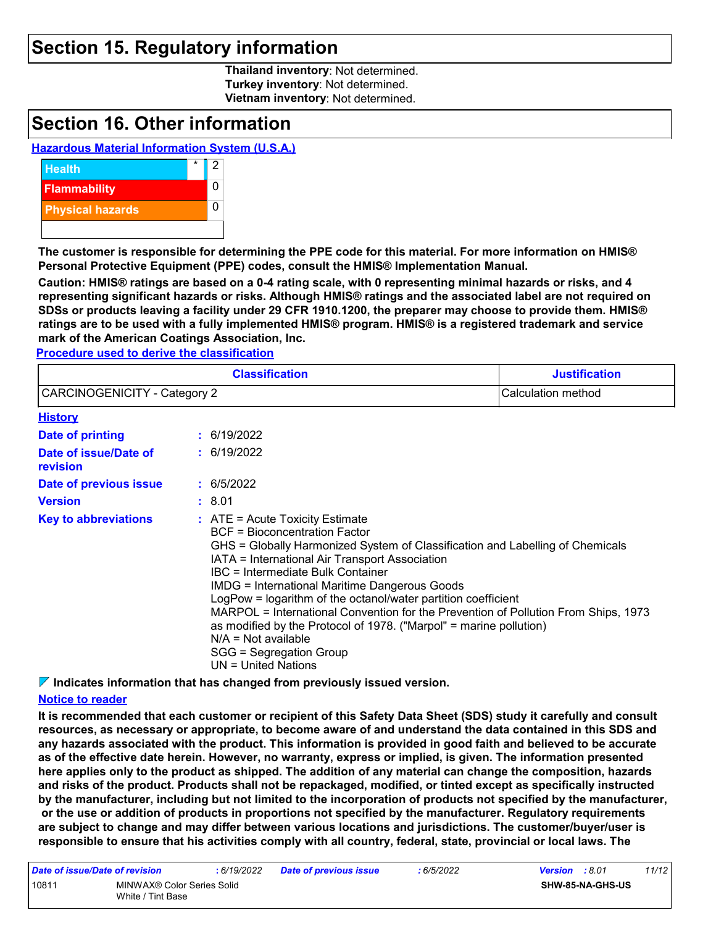### **Section 15. Regulatory information**

**Thailand inventory**: Not determined. **Turkey inventory**: Not determined. **Vietnam inventory**: Not determined.

### **Section 16. Other information**

#### **Hazardous Material Information System (U.S.A.)**



**The customer is responsible for determining the PPE code for this material. For more information on HMIS® Personal Protective Equipment (PPE) codes, consult the HMIS® Implementation Manual.**

**Caution: HMIS® ratings are based on a 0-4 rating scale, with 0 representing minimal hazards or risks, and 4 representing significant hazards or risks. Although HMIS® ratings and the associated label are not required on SDSs or products leaving a facility under 29 CFR 1910.1200, the preparer may choose to provide them. HMIS® ratings are to be used with a fully implemented HMIS® program. HMIS® is a registered trademark and service mark of the American Coatings Association, Inc.**

**Procedure used to derive the classification**

|                                     | <b>Classification</b>                                                                                                                                                                                                                                                                                                                                                                                                                                                                                                                                                                                               | <b>Justification</b> |
|-------------------------------------|---------------------------------------------------------------------------------------------------------------------------------------------------------------------------------------------------------------------------------------------------------------------------------------------------------------------------------------------------------------------------------------------------------------------------------------------------------------------------------------------------------------------------------------------------------------------------------------------------------------------|----------------------|
| <b>CARCINOGENICITY - Category 2</b> |                                                                                                                                                                                                                                                                                                                                                                                                                                                                                                                                                                                                                     | Calculation method   |
| <b>History</b>                      |                                                                                                                                                                                                                                                                                                                                                                                                                                                                                                                                                                                                                     |                      |
| Date of printing                    | : 6/19/2022                                                                                                                                                                                                                                                                                                                                                                                                                                                                                                                                                                                                         |                      |
| Date of issue/Date of<br>revision   | : 6/19/2022                                                                                                                                                                                                                                                                                                                                                                                                                                                                                                                                                                                                         |                      |
| Date of previous issue              | : 6/5/2022                                                                                                                                                                                                                                                                                                                                                                                                                                                                                                                                                                                                          |                      |
| <b>Version</b>                      | : 8.01                                                                                                                                                                                                                                                                                                                                                                                                                                                                                                                                                                                                              |                      |
| <b>Key to abbreviations</b>         | $:$ ATE = Acute Toxicity Estimate<br><b>BCF</b> = Bioconcentration Factor<br>GHS = Globally Harmonized System of Classification and Labelling of Chemicals<br>IATA = International Air Transport Association<br>IBC = Intermediate Bulk Container<br><b>IMDG = International Maritime Dangerous Goods</b><br>LogPow = logarithm of the octanol/water partition coefficient<br>MARPOL = International Convention for the Prevention of Pollution From Ships, 1973<br>as modified by the Protocol of 1978. ("Marpol" = marine pollution)<br>$N/A = Not available$<br>SGG = Segregation Group<br>$UN = United Nations$ |                      |

**Indicates information that has changed from previously issued version.**

#### **Notice to reader**

**It is recommended that each customer or recipient of this Safety Data Sheet (SDS) study it carefully and consult resources, as necessary or appropriate, to become aware of and understand the data contained in this SDS and any hazards associated with the product. This information is provided in good faith and believed to be accurate as of the effective date herein. However, no warranty, express or implied, is given. The information presented here applies only to the product as shipped. The addition of any material can change the composition, hazards and risks of the product. Products shall not be repackaged, modified, or tinted except as specifically instructed by the manufacturer, including but not limited to the incorporation of products not specified by the manufacturer, or the use or addition of products in proportions not specified by the manufacturer. Regulatory requirements are subject to change and may differ between various locations and jurisdictions. The customer/buyer/user is responsible to ensure that his activities comply with all country, federal, state, provincial or local laws. The** 

| Date of issue/Date of revision |                                                 | :6/19/2022 | <b>Date of previous issue</b> | : 6/5/2022 | <b>Version</b> : 8.01 |                  | 11/12 |
|--------------------------------|-------------------------------------------------|------------|-------------------------------|------------|-----------------------|------------------|-------|
| 10811                          | MINWAX® Color Series Solid<br>White / Tint Base |            |                               |            |                       | SHW-85-NA-GHS-US |       |